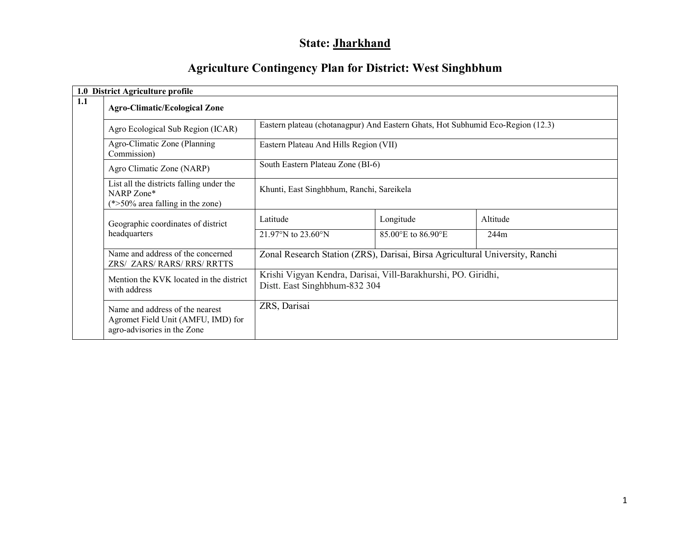# State: Jharkhand

# Agriculture Contingency Plan for District: West Singhbhum

| 1.0 District Agriculture profile                                                                     |                                                                              |                                                                                                |                  |  |  |  |
|------------------------------------------------------------------------------------------------------|------------------------------------------------------------------------------|------------------------------------------------------------------------------------------------|------------------|--|--|--|
| 1.1<br><b>Agro-Climatic/Ecological Zone</b>                                                          |                                                                              |                                                                                                |                  |  |  |  |
| Agro Ecological Sub Region (ICAR)                                                                    |                                                                              | Eastern plateau (chotanagpur) And Eastern Ghats, Hot Subhumid Eco-Region (12.3)                |                  |  |  |  |
| Agro-Climatic Zone (Planning<br>Commission)                                                          | Eastern Plateau And Hills Region (VII)                                       |                                                                                                |                  |  |  |  |
| Agro Climatic Zone (NARP)                                                                            | South Eastern Plateau Zone (BI-6)                                            |                                                                                                |                  |  |  |  |
| List all the districts falling under the<br>NARP Zone*<br>$(*>50\%$ area falling in the zone)        | Khunti, East Singhbhum, Ranchi, Sareikela                                    |                                                                                                |                  |  |  |  |
| Geographic coordinates of district<br>headquarters                                                   | Latitude<br>21.97°N to 23.60°N                                               | Longitude<br>85.00°E to 86.90°E                                                                | Altitude<br>244m |  |  |  |
| Name and address of the concerned<br>ZRS/ ZARS/ RARS/ RRS/ RRTTS                                     | Zonal Research Station (ZRS), Darisai, Birsa Agricultural University, Ranchi |                                                                                                |                  |  |  |  |
| Mention the KVK located in the district<br>with address                                              |                                                                              | Krishi Vigyan Kendra, Darisai, Vill-Barakhurshi, PO. Giridhi,<br>Distt. East Singhbhum-832 304 |                  |  |  |  |
| Name and address of the nearest<br>Agromet Field Unit (AMFU, IMD) for<br>agro-advisories in the Zone | ZRS, Darisai                                                                 |                                                                                                |                  |  |  |  |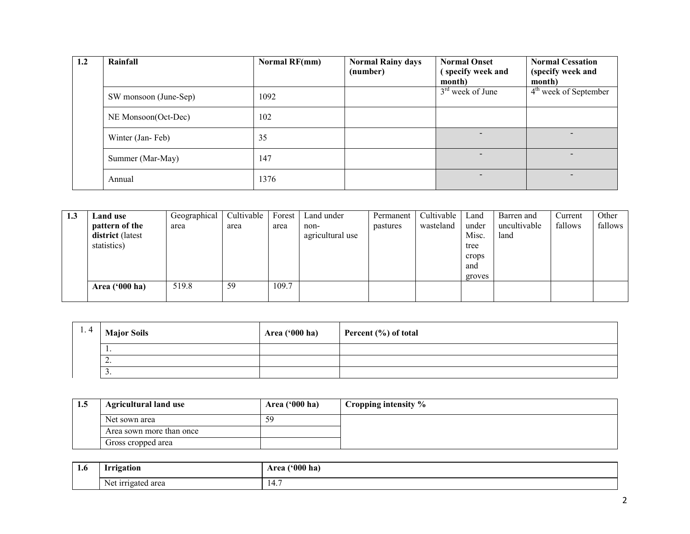| 1.2 | Rainfall              | <b>Normal RF(mm)</b> | <b>Normal Rainy days</b><br>(number) | <b>Normal Onset</b><br>(specify week and | <b>Normal Cessation</b><br>(specify week and |
|-----|-----------------------|----------------------|--------------------------------------|------------------------------------------|----------------------------------------------|
|     |                       |                      |                                      | month)                                   | month)                                       |
|     | SW monsoon (June-Sep) | 1092                 |                                      | $3rd$ week of June                       | $4th$ week of September                      |
|     | NE Monsoon(Oct-Dec)   | 102                  |                                      |                                          |                                              |
|     | Winter (Jan-Feb)      | 35                   |                                      | $\overline{\phantom{a}}$                 |                                              |
|     | Summer (Mar-May)      | 147                  |                                      | $\overline{\phantom{0}}$                 |                                              |
|     | Annual                | 1376                 |                                      |                                          |                                              |

| 1.3 | Land use         | Geographical | Cultivable | Forest | Land under       | Permanent | Cultivable | Land   | Barren and   | Current | Other   |
|-----|------------------|--------------|------------|--------|------------------|-----------|------------|--------|--------------|---------|---------|
|     | pattern of the   | area         | area       | area   | non-             | pastures  | wasteland  | under  | uncultivable | fallows | fallows |
|     | district (latest |              |            |        | agricultural use |           |            | Misc.  | land         |         |         |
|     | statistics)      |              |            |        |                  |           |            | tree   |              |         |         |
|     |                  |              |            |        |                  |           |            | crops  |              |         |         |
|     |                  |              |            |        |                  |           |            | and    |              |         |         |
|     |                  |              |            |        |                  |           |            | groves |              |         |         |
|     | Area $('000 ha)$ | 519.8        | 59         | 109.7  |                  |           |            |        |              |         |         |
|     |                  |              |            |        |                  |           |            |        |              |         |         |

| 1.4 | <b>Major Soils</b> | <b>Area</b> ('000 ha) | Percent $(\% )$ of total |
|-----|--------------------|-----------------------|--------------------------|
|     | . .                |                       |                          |
|     | <u>L</u> .         |                       |                          |
|     | <u>.</u>           |                       |                          |

| 1.5 | <b>Agricultural land use</b> | Area ('000 ha) | Cropping intensity % |
|-----|------------------------------|----------------|----------------------|
|     | Net sown area                | 59             |                      |
|     | Area sown more than once     |                |                      |
|     | Gross cropped area           |                |                      |

| 1.0 | trrigation             | 000<br>$\lfloor$ ha<br>Area |
|-----|------------------------|-----------------------------|
|     | igated area<br>Ne'<br> | $\blacksquare$              |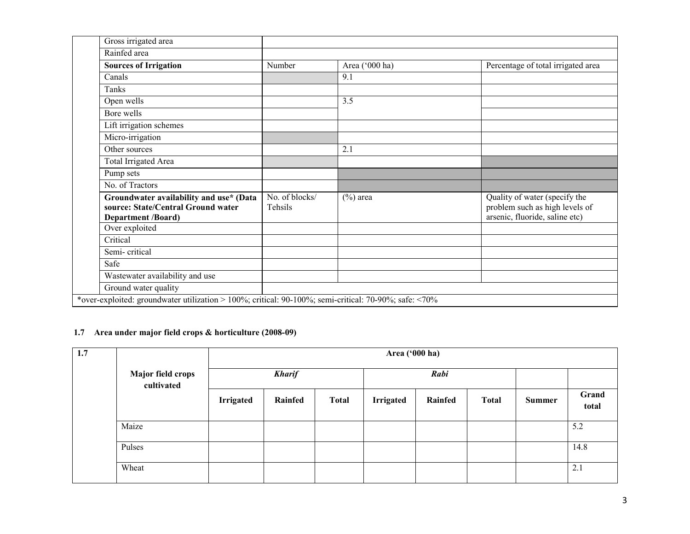| Gross irrigated area                                                                                       |                           |                |                                                                                                   |
|------------------------------------------------------------------------------------------------------------|---------------------------|----------------|---------------------------------------------------------------------------------------------------|
| Rainfed area                                                                                               |                           |                |                                                                                                   |
| <b>Sources of Irrigation</b>                                                                               | Number                    | Area ('000 ha) | Percentage of total irrigated area                                                                |
| Canals                                                                                                     |                           | 9.1            |                                                                                                   |
| Tanks                                                                                                      |                           |                |                                                                                                   |
| Open wells                                                                                                 |                           | 3.5            |                                                                                                   |
| Bore wells                                                                                                 |                           |                |                                                                                                   |
| Lift irrigation schemes                                                                                    |                           |                |                                                                                                   |
| Micro-irrigation                                                                                           |                           |                |                                                                                                   |
| Other sources                                                                                              |                           | 2.1            |                                                                                                   |
| Total Irrigated Area                                                                                       |                           |                |                                                                                                   |
| Pump sets                                                                                                  |                           |                |                                                                                                   |
| No. of Tractors                                                                                            |                           |                |                                                                                                   |
| Groundwater availability and use* (Data<br>source: State/Central Ground water<br><b>Department /Board)</b> | No. of blocks/<br>Tehsils | $(\%)$ area    | Quality of water (specify the<br>problem such as high levels of<br>arsenic, fluoride, saline etc) |
| Over exploited                                                                                             |                           |                |                                                                                                   |
| Critical                                                                                                   |                           |                |                                                                                                   |
| Semi-critical                                                                                              |                           |                |                                                                                                   |
| Safe                                                                                                       |                           |                |                                                                                                   |
| Wastewater availability and use                                                                            |                           |                |                                                                                                   |
| Ground water quality                                                                                       |                           |                |                                                                                                   |
| *over-exploited: groundwater utilization > 100%; critical: 90-100%; semi-critical: 70-90%; safe: <70%      |                           |                |                                                                                                   |

# 1.7 Area under major field crops & horticulture (2008-09)

| 1.7 | Major field crops<br>cultivated |                  | Area ('000 ha) |              |                  |         |              |        |                |  |
|-----|---------------------------------|------------------|----------------|--------------|------------------|---------|--------------|--------|----------------|--|
|     |                                 |                  | <b>Kharif</b>  |              |                  | Rabi    |              |        |                |  |
|     |                                 | <b>Irrigated</b> | Rainfed        | <b>Total</b> | <b>Irrigated</b> | Rainfed | <b>Total</b> | Summer | Grand<br>total |  |
|     | Maize                           |                  |                |              |                  |         |              |        | 5.2            |  |
|     | Pulses                          |                  |                |              |                  |         |              |        | 14.8           |  |
|     | Wheat                           |                  |                |              |                  |         |              |        | 2.1            |  |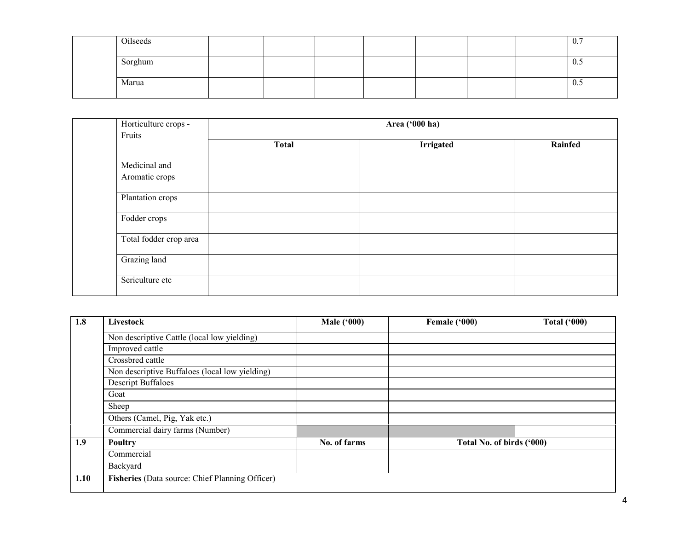| Oilseeds |  |  |  | 0.7 |
|----------|--|--|--|-----|
| Sorghum  |  |  |  | 0.5 |
| Marua    |  |  |  | 0.5 |

| Horticulture crops -<br>Fruits  |              | Area ('000 ha)   |         |
|---------------------------------|--------------|------------------|---------|
|                                 | <b>Total</b> | <b>Irrigated</b> | Rainfed |
| Medicinal and<br>Aromatic crops |              |                  |         |
| Plantation crops                |              |                  |         |
| Fodder crops                    |              |                  |         |
| Total fodder crop area          |              |                  |         |
| Grazing land                    |              |                  |         |
| Sericulture etc                 |              |                  |         |

| 1.8  | Livestock                                       | <b>Male ('000)</b> | Female ('000)             | <b>Total ('000)</b> |
|------|-------------------------------------------------|--------------------|---------------------------|---------------------|
|      | Non descriptive Cattle (local low yielding)     |                    |                           |                     |
|      | Improved cattle                                 |                    |                           |                     |
|      | Crossbred cattle                                |                    |                           |                     |
|      | Non descriptive Buffaloes (local low yielding)  |                    |                           |                     |
|      | <b>Descript Buffaloes</b>                       |                    |                           |                     |
|      | Goat                                            |                    |                           |                     |
|      | Sheep                                           |                    |                           |                     |
|      | Others (Camel, Pig, Yak etc.)                   |                    |                           |                     |
|      | Commercial dairy farms (Number)                 |                    |                           |                     |
| 1.9  | Poultry                                         | No. of farms       | Total No. of birds ('000) |                     |
|      | Commercial                                      |                    |                           |                     |
|      | Backyard                                        |                    |                           |                     |
| 1.10 | Fisheries (Data source: Chief Planning Officer) |                    |                           |                     |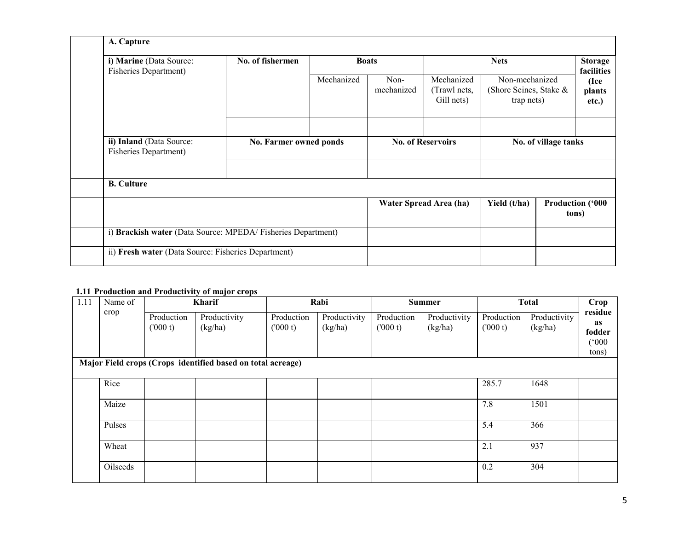| A. Capture                                                  |                                  |            |                    |                                          |                                                        |                      |                                  |
|-------------------------------------------------------------|----------------------------------|------------|--------------------|------------------------------------------|--------------------------------------------------------|----------------------|----------------------------------|
| i) Marine (Data Source:<br><b>Fisheries Department)</b>     | No. of fishermen<br><b>Boats</b> |            |                    |                                          | <b>Nets</b>                                            |                      | <b>Storage</b><br>facilities     |
|                                                             |                                  | Mechanized | Non-<br>mechanized | Mechanized<br>(Trawl nets,<br>Gill nets) | Non-mechanized<br>(Shore Seines, Stake &<br>trap nets) |                      | (Ice<br>plants<br>etc.)          |
| ii) Inland (Data Source:                                    | No. Farmer owned ponds           |            |                    | <b>No. of Reservoirs</b>                 |                                                        | No. of village tanks |                                  |
| <b>Fisheries Department)</b>                                |                                  |            |                    |                                          |                                                        |                      |                                  |
| <b>B.</b> Culture                                           |                                  |            |                    |                                          |                                                        |                      |                                  |
|                                                             |                                  |            |                    | Water Spread Area (ha)                   | Yield (t/ha)                                           |                      | <b>Production ('000</b><br>tons) |
| i) Brackish water (Data Source: MPEDA/Fisheries Department) |                                  |            |                    |                                          |                                                        |                      |                                  |
| ii) Fresh water (Data Source: Fisheries Department)         |                                  |            |                    |                                          |                                                        |                      |                                  |

#### 1.11 Production and Productivity of major crops

| 1.11 | Name of<br>crop |                       | <b>Kharif</b>                                               |                       | Rabi                    |                       | <b>Summer</b>           |                       | <b>Total</b>            | Crop                                      |
|------|-----------------|-----------------------|-------------------------------------------------------------|-----------------------|-------------------------|-----------------------|-------------------------|-----------------------|-------------------------|-------------------------------------------|
|      |                 | Production<br>(000 t) | Productivity<br>(kg/ha)                                     | Production<br>(000 t) | Productivity<br>(kg/ha) | Production<br>(000 t) | Productivity<br>(kg/ha) | Production<br>(000 t) | Productivity<br>(kg/ha) | residue<br>as<br>fodder<br>(000)<br>tons) |
|      |                 |                       | Major Field crops (Crops identified based on total acreage) |                       |                         |                       |                         |                       |                         |                                           |
|      | Rice            |                       |                                                             |                       |                         |                       |                         | 285.7                 | 1648                    |                                           |
|      | Maize           |                       |                                                             |                       |                         |                       |                         | 7.8                   | 1501                    |                                           |
|      | Pulses          |                       |                                                             |                       |                         |                       |                         | 5.4                   | 366                     |                                           |
|      | Wheat           |                       |                                                             |                       |                         |                       |                         | 2.1                   | 937                     |                                           |
|      | Oilseeds        |                       |                                                             |                       |                         |                       |                         | 0.2                   | 304                     |                                           |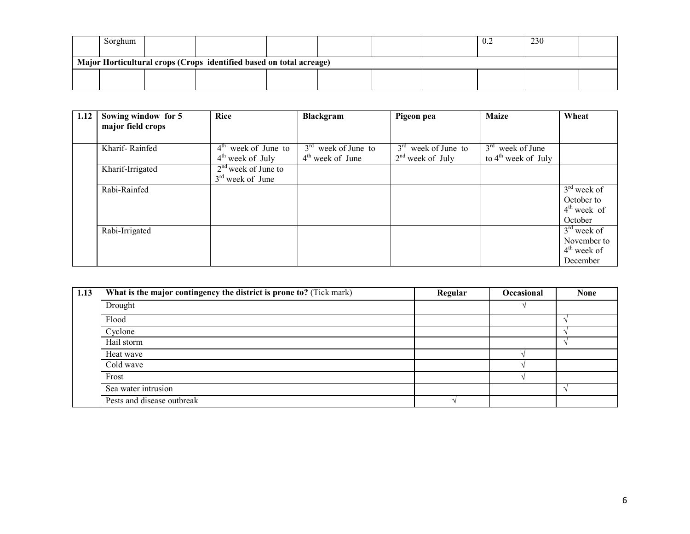| Sorghum                                                             |  |  |  |  |  |  | $v_{\cdot}$ | 230 |  |
|---------------------------------------------------------------------|--|--|--|--|--|--|-------------|-----|--|
| Major Horticultural crops (Crops identified based on total acreage) |  |  |  |  |  |  |             |     |  |
|                                                                     |  |  |  |  |  |  |             |     |  |

| 1.12 | Sowing window for 5<br>major field crops | <b>Rice</b>           | <b>Blackgram</b>      | Pigeon pea            | <b>Maize</b>                    | Wheat         |
|------|------------------------------------------|-----------------------|-----------------------|-----------------------|---------------------------------|---------------|
|      |                                          |                       |                       |                       |                                 |               |
|      | Kharif-Rainfed                           | $4th$ week of June to | $3rd$ week of June to | $3rd$ week of June to | $3rd$ week of June              |               |
|      |                                          | $4th$ week of July    | $4th$ week of June    | $2nd$ week of July    | to $4^{\text{th}}$ week of July |               |
|      | Kharif-Irrigated                         | $2nd$ week of June to |                       |                       |                                 |               |
|      |                                          | $3rd$ week of June    |                       |                       |                                 |               |
|      | Rabi-Rainfed                             |                       |                       |                       |                                 | $3rd$ week of |
|      |                                          |                       |                       |                       |                                 | October to    |
|      |                                          |                       |                       |                       |                                 | $4th$ week of |
|      |                                          |                       |                       |                       |                                 | October       |
|      | Rabi-Irrigated                           |                       |                       |                       |                                 | $3rd$ week of |
|      |                                          |                       |                       |                       |                                 | November to   |
|      |                                          |                       |                       |                       |                                 | $4th$ week of |
|      |                                          |                       |                       |                       |                                 | December      |

| 1.13 | What is the major contingency the district is prone to? (Tick mark) | Regular | <b>Occasional</b> | <b>None</b> |
|------|---------------------------------------------------------------------|---------|-------------------|-------------|
|      | Drought                                                             |         |                   |             |
|      | Flood                                                               |         |                   |             |
|      | Cyclone                                                             |         |                   |             |
|      | Hail storm                                                          |         |                   |             |
|      | Heat wave                                                           |         |                   |             |
|      | Cold wave                                                           |         |                   |             |
|      | Frost                                                               |         |                   |             |
|      | Sea water intrusion                                                 |         |                   |             |
|      | Pests and disease outbreak                                          |         |                   |             |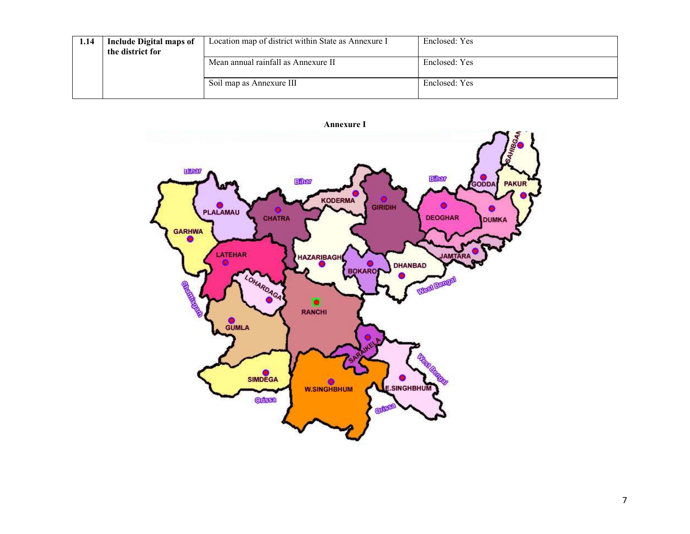| 1.14 | <b>Include Digital maps of</b><br>the district for | Location map of district within State as Annexure I | Enclosed: Yes |
|------|----------------------------------------------------|-----------------------------------------------------|---------------|
|      |                                                    | Mean annual rainfall as Annexure II                 | Enclosed: Yes |
|      |                                                    | Soil map as Annexure III                            | Enclosed: Yes |

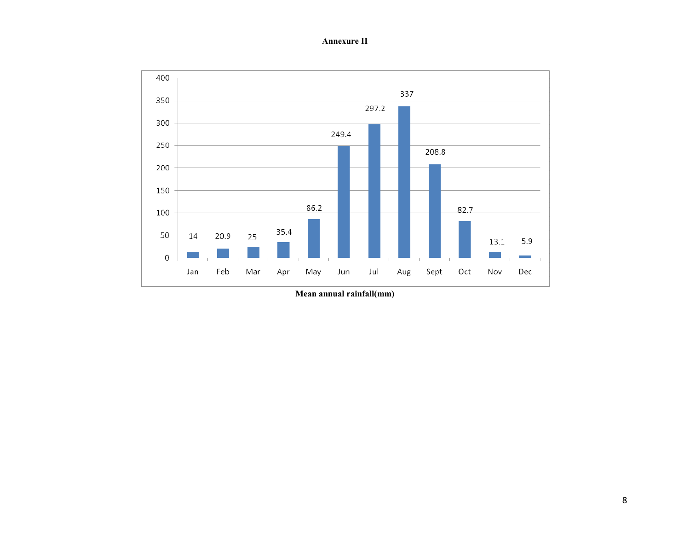Annexure II



Mean annual rainfall(mm)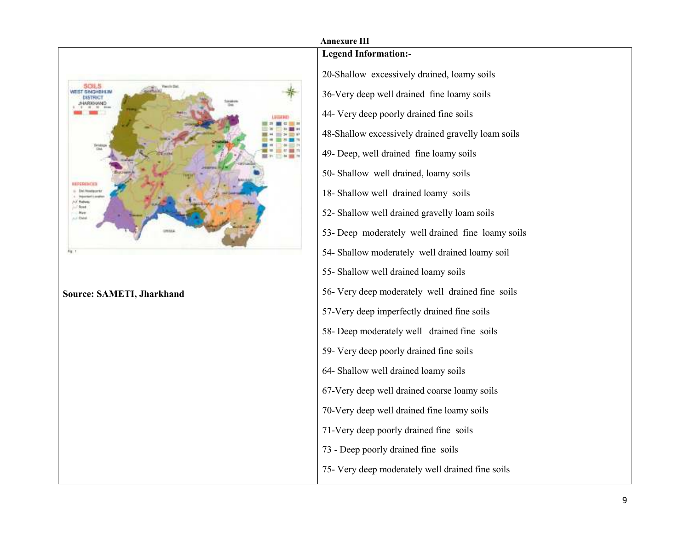

# Annexure III Legend Information:- 20-Shallow excessively drained, loamy soils 36-Very deep well drained fine loamy soils 44- Very deep poorly drained fine soils 48-Shallow excessively drained gravelly loam soils 49- Deep, well drained fine loamy soils 50- Shallow well drained, loamy soils 18- Shallow well drained loamy soils 52- Shallow well drained gravelly loam soils 53- Deep moderately well drained fine loamy soils 54- Shallow moderately well drained loamy soil 55- Shallow well drained loamy soils 56- Very deep moderately well drained fine soils57-Very deep imperfectly drained fine soils 58- Deep moderately well drained fine soils 59- Very deep poorly drained fine soils 64- Shallow well drained loamy soils 67-Very deep well drained coarse loamy soils 70-Very deep well drained fine loamy soils 71-Very deep poorly drained fine soils 73 - Deep poorly drained fine soils 75- Very deep moderately well drained fine soils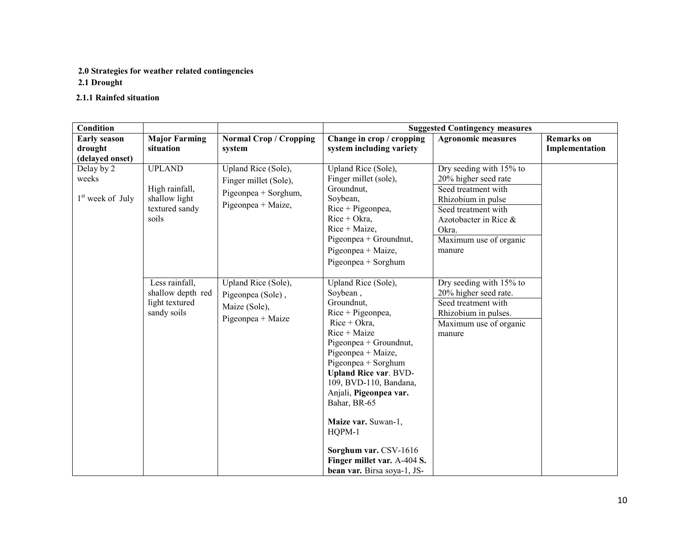# 2.0 Strategies for weather related contingencies

2.1 Drought

#### 2.1.1 Rainfed situation

| Condition                                         |                                                                             |                                                                                            |                                                                                                                                                                                                                                                                                                                                                                                                            | <b>Suggested Contingency measures</b>                                                                                                                                                     |                                     |
|---------------------------------------------------|-----------------------------------------------------------------------------|--------------------------------------------------------------------------------------------|------------------------------------------------------------------------------------------------------------------------------------------------------------------------------------------------------------------------------------------------------------------------------------------------------------------------------------------------------------------------------------------------------------|-------------------------------------------------------------------------------------------------------------------------------------------------------------------------------------------|-------------------------------------|
| <b>Early season</b><br>drought<br>(delayed onset) | <b>Major Farming</b><br>situation                                           | <b>Normal Crop / Cropping</b><br>system                                                    | Change in crop / cropping<br>system including variety                                                                                                                                                                                                                                                                                                                                                      | <b>Agronomic measures</b>                                                                                                                                                                 | <b>Remarks</b> on<br>Implementation |
| Delay by 2<br>weeks<br>$1st$ week of July         | <b>UPLAND</b><br>High rainfall,<br>shallow light<br>textured sandy<br>soils | Upland Rice (Sole),<br>Finger millet (Sole),<br>Pigeonpea + Sorghum,<br>Pigeonpea + Maize, | Upland Rice (Sole),<br>Finger millet (sole),<br>Groundnut,<br>Soybean,<br>$Rice + Pigeonpea$ ,<br>$Rice + Okra$ ,<br>$Rice + Maize$ ,<br>Pigeonpea + Groundnut,<br>Pigeonpea + Maize,<br>$Pigeonpea + Sorghum$                                                                                                                                                                                             | Dry seeding with 15% to<br>20% higher seed rate<br>Seed treatment with<br>Rhizobium in pulse<br>Seed treatment with<br>Azotobacter in Rice &<br>Okra.<br>Maximum use of organic<br>manure |                                     |
|                                                   | Less rainfall,<br>shallow depth red<br>light textured<br>sandy soils        | Upland Rice (Sole),<br>Pigeonpea (Sole),<br>Maize (Sole),<br>Pigeonpea + Maize             | Upland Rice (Sole),<br>Soybean,<br>Groundnut,<br>$Rice + Pigeonpea$ ,<br>$Rice + Okra,$<br>Rice + Maize<br>Pigeonpea + Groundnut,<br>Pigeonpea + Maize,<br>Pigeonpea + Sorghum<br><b>Upland Rice var. BVD-</b><br>109, BVD-110, Bandana,<br>Anjali, Pigeonpea var.<br>Bahar, BR-65<br>Maize var. Suwan-1,<br>HQPM-1<br>Sorghum var. CSV-1616<br>Finger millet var. A-404 S.<br>bean var. Birsa soya-1, JS- | Dry seeding with 15% to<br>20% higher seed rate.<br>Seed treatment with<br>Rhizobium in pulses.<br>Maximum use of organic<br>manure                                                       |                                     |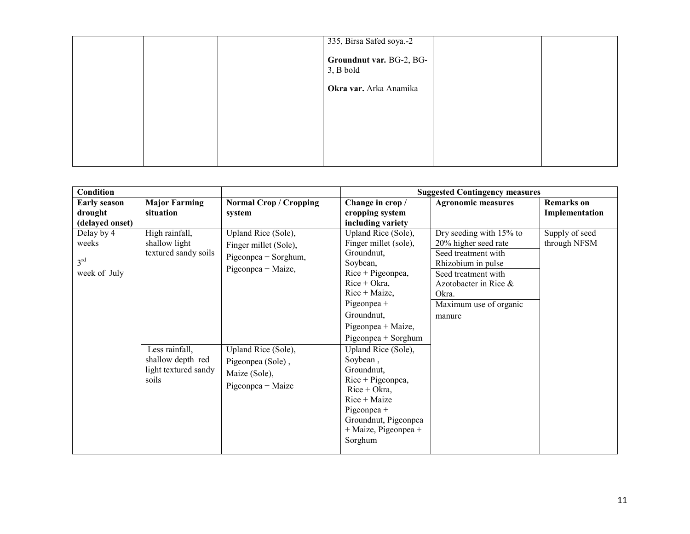|  | 335, Birsa Safed soya.-2<br>Groundnut var. BG-2, BG-<br>$3, B$ bold |  |
|--|---------------------------------------------------------------------|--|
|  | Okra var. Arka Anamika                                              |  |
|  |                                                                     |  |
|  |                                                                     |  |
|  |                                                                     |  |

| <b>Condition</b>                                       |                                                                                                                                 |                                                                                                                                                                              |                                                                                                                                                                                                                                                                                                                                                                                                            | <b>Suggested Contingency measures</b>                                                                                                                                                     |                                     |
|--------------------------------------------------------|---------------------------------------------------------------------------------------------------------------------------------|------------------------------------------------------------------------------------------------------------------------------------------------------------------------------|------------------------------------------------------------------------------------------------------------------------------------------------------------------------------------------------------------------------------------------------------------------------------------------------------------------------------------------------------------------------------------------------------------|-------------------------------------------------------------------------------------------------------------------------------------------------------------------------------------------|-------------------------------------|
| <b>Early season</b><br>drought<br>(delayed onset)      | <b>Major Farming</b><br>situation                                                                                               | <b>Normal Crop / Cropping</b><br>system                                                                                                                                      | Change in crop /<br>cropping system<br>including variety                                                                                                                                                                                                                                                                                                                                                   | <b>Agronomic measures</b>                                                                                                                                                                 | <b>Remarks</b> on<br>Implementation |
| Delay by 4<br>weeks<br>3 <sup>rd</sup><br>week of July | High rainfall,<br>shallow light<br>textured sandy soils<br>Less rainfall,<br>shallow depth red<br>light textured sandy<br>soils | Upland Rice (Sole),<br>Finger millet (Sole),<br>Pigeonpea + Sorghum,<br>Pigeonpea + Maize,<br>Upland Rice (Sole),<br>Pigeonpea (Sole),<br>Maize (Sole),<br>Pigeonpea + Maize | Upland Rice (Sole),<br>Finger millet (sole),<br>Groundnut,<br>Soybean,<br>$Rice + Pigeonpea$ ,<br>$Rice + Okra$ ,<br>$Rice + Maize$ ,<br>Pigeonpea +<br>Groundnut,<br>Pigeonpea + Maize,<br>Pigeonpea + Sorghum<br>Upland Rice (Sole),<br>Soybean,<br>Groundnut,<br>$Rice + Pigeonpea$ ,<br>$Rice + Okra,$<br>Rice + Maize<br>Pigeonpea $+$<br>Groundnut, Pigeonpea<br>$+$ Maize, Pigeonpea $+$<br>Sorghum | Dry seeding with 15% to<br>20% higher seed rate<br>Seed treatment with<br>Rhizobium in pulse<br>Seed treatment with<br>Azotobacter in Rice &<br>Okra.<br>Maximum use of organic<br>manure | Supply of seed<br>through NFSM      |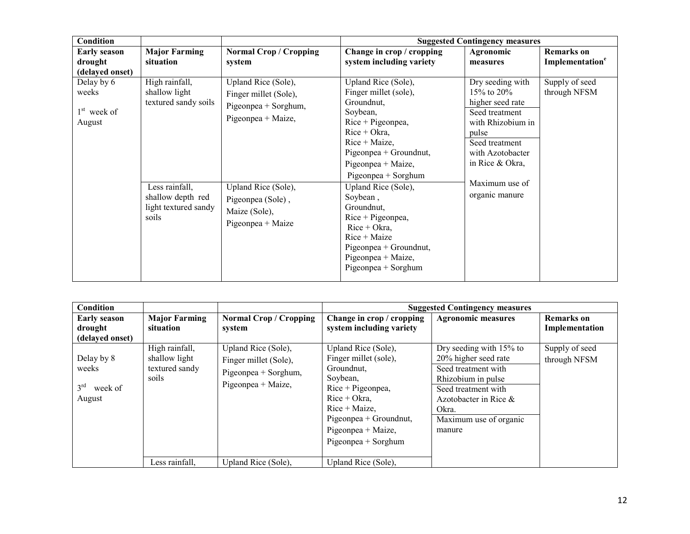| Condition                                         |                                                                                                                                 |                                                                                                                                                                              |                                                                                                                                                                                                                                                                                                                                                                                                | <b>Suggested Contingency measures</b>                                                                                                                                                             |                                                  |
|---------------------------------------------------|---------------------------------------------------------------------------------------------------------------------------------|------------------------------------------------------------------------------------------------------------------------------------------------------------------------------|------------------------------------------------------------------------------------------------------------------------------------------------------------------------------------------------------------------------------------------------------------------------------------------------------------------------------------------------------------------------------------------------|---------------------------------------------------------------------------------------------------------------------------------------------------------------------------------------------------|--------------------------------------------------|
| <b>Early season</b><br>drought<br>(delayed onset) | <b>Major Farming</b><br>situation                                                                                               | <b>Normal Crop / Cropping</b><br>system                                                                                                                                      | Change in crop / cropping<br>system including variety                                                                                                                                                                                                                                                                                                                                          | Agronomic<br>measures                                                                                                                                                                             | <b>Remarks</b> on<br>Implementation <sup>e</sup> |
| Delay by 6<br>weeks<br>$1st$ week of<br>August    | High rainfall,<br>shallow light<br>textured sandy soils<br>Less rainfall,<br>shallow depth red<br>light textured sandy<br>soils | Upland Rice (Sole),<br>Finger millet (Sole),<br>Pigeonpea + Sorghum,<br>Pigeonpea + Maize,<br>Upland Rice (Sole),<br>Pigeonpea (Sole),<br>Maize (Sole),<br>Pigeonpea + Maize | Upland Rice (Sole),<br>Finger millet (sole),<br>Groundnut,<br>Soybean,<br>$Rice + Pigeonpea$ ,<br>$Rice + Okra$ ,<br>$Rice + Maize$ ,<br>Pigeonpea + Groundnut,<br>Pigeonpea + Maize,<br>Pigeonpea + Sorghum<br>Upland Rice (Sole),<br>Soybean,<br>Groundnut,<br>Rice + Pigeonpea,<br>$Rice + Okra$ ,<br>$Rice + Maize$<br>Pigeonpea + Groundnut,<br>Pigeonpea + Maize,<br>Pigeonpea + Sorghum | Dry seeding with<br>15\% to 20\%<br>higher seed rate<br>Seed treatment<br>with Rhizobium in<br>pulse<br>Seed treatment<br>with Azotobacter<br>in Rice & Okra,<br>Maximum use of<br>organic manure | Supply of seed<br>through NFSM                   |

| Condition                                                   |                                                            |                                                                                            |                                                                                                                                                                                                               | <b>Suggested Contingency measures</b>                                                                                                                                                        |                                     |
|-------------------------------------------------------------|------------------------------------------------------------|--------------------------------------------------------------------------------------------|---------------------------------------------------------------------------------------------------------------------------------------------------------------------------------------------------------------|----------------------------------------------------------------------------------------------------------------------------------------------------------------------------------------------|-------------------------------------|
| <b>Early season</b><br>drought<br>(delayed onset)           | <b>Major Farming</b><br>situation                          | Normal Crop / Cropping<br>system                                                           | Change in crop / cropping<br>system including variety                                                                                                                                                         | <b>Agronomic measures</b>                                                                                                                                                                    | <b>Remarks</b> on<br>Implementation |
| Delay by 8<br>weeks<br>3 <sup>rd</sup><br>week of<br>August | High rainfall,<br>shallow light<br>textured sandy<br>soils | Upland Rice (Sole),<br>Finger millet (Sole),<br>Pigeonpea + Sorghum,<br>Pigeonpea + Maize, | Upland Rice (Sole),<br>Finger millet (sole),<br>Groundnut,<br>Soybean,<br>$Rice + Pigeonpea,$<br>$Rice + Okra$ ,<br>$Rice + Maize$ .<br>Pigeonpea + Groundnut,<br>Pigeonpea + Maize,<br>$Pigeonpea + Sorghum$ | Dry seeding with 15% to<br>20% higher seed rate<br>Seed treatment with<br>Rhizobium in pulse<br>Seed treatment with<br>Azotobacter in Rice $\&$<br>Okra.<br>Maximum use of organic<br>manure | Supply of seed<br>through NFSM      |
|                                                             | Less rainfall,                                             | Upland Rice (Sole),                                                                        | Upland Rice (Sole),                                                                                                                                                                                           |                                                                                                                                                                                              |                                     |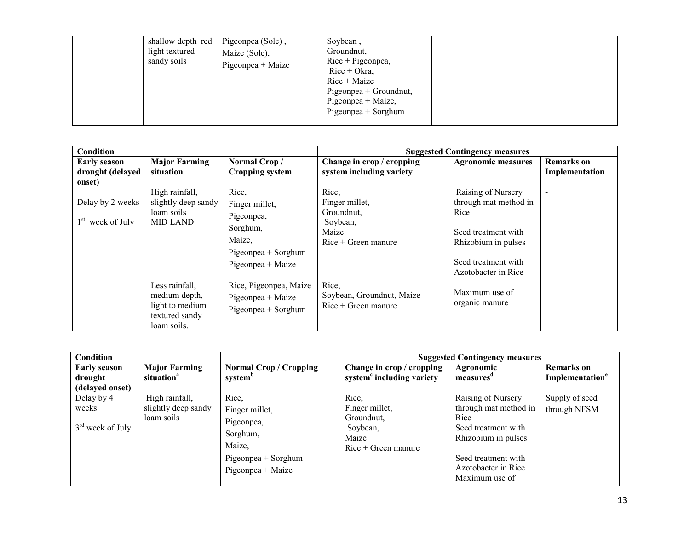| shallow depth red<br>light textured<br>sandy soils | Pigeonpea (Sole),<br>Maize (Sole),<br>$Pigeonpea + Maize$ | Soybean,<br>Groundnut,<br>$Rice + Pigeonpea$ ,<br>$Rice + Okra$ ,<br>$Rice + Maize$<br>Pigeonpea + Groundnut,<br>Pigeonpea + Maize,<br>$Pigeonpea + Sorghum$ |  |  |
|----------------------------------------------------|-----------------------------------------------------------|--------------------------------------------------------------------------------------------------------------------------------------------------------------|--|--|
|----------------------------------------------------|-----------------------------------------------------------|--------------------------------------------------------------------------------------------------------------------------------------------------------------|--|--|

| Condition                                         |                                                                                     |                                                                                                         |                                                                                     | <b>Suggested Contingency measures</b>                                                                                                           |                                     |
|---------------------------------------------------|-------------------------------------------------------------------------------------|---------------------------------------------------------------------------------------------------------|-------------------------------------------------------------------------------------|-------------------------------------------------------------------------------------------------------------------------------------------------|-------------------------------------|
| <b>Early season</b><br>drought (delayed<br>onset) | <b>Major Farming</b><br>situation                                                   | Normal Crop/<br>Cropping system                                                                         | Change in crop / cropping<br>system including variety                               | <b>Agronomic measures</b>                                                                                                                       | <b>Remarks</b> on<br>Implementation |
| Delay by 2 weeks<br>$1st$ week of July            | High rainfall,<br>slightly deep sandy<br>loam soils<br><b>MID LAND</b>              | Rice,<br>Finger millet,<br>Pigeonpea,<br>Sorghum,<br>Maize,<br>Pigeonpea + Sorghum<br>Pigeonpea + Maize | Rice,<br>Finger millet,<br>Groundnut,<br>Soybean,<br>Maize<br>$Rice + Green$ manure | Raising of Nursery<br>through mat method in<br>Rice<br>Seed treatment with<br>Rhizobium in pulses<br>Seed treatment with<br>Azotobacter in Rice | $\overline{\phantom{a}}$            |
|                                                   | Less rainfall,<br>medium depth,<br>light to medium<br>textured sandy<br>loam soils. | Rice, Pigeonpea, Maize<br>$Pigeonpea + Maize$<br>Pigeonpea + Sorghum                                    | Rice,<br>Soybean, Groundnut, Maize<br>$Rice + Green$ manure                         | Maximum use of<br>organic manure                                                                                                                |                                     |

| Condition                                         |                                                     |                                                                                                         |                                                                                     | <b>Suggested Contingency measures</b>                                                                                                                             |                                                  |
|---------------------------------------------------|-----------------------------------------------------|---------------------------------------------------------------------------------------------------------|-------------------------------------------------------------------------------------|-------------------------------------------------------------------------------------------------------------------------------------------------------------------|--------------------------------------------------|
| <b>Early season</b><br>drought<br>(delayed onset) | <b>Major Farming</b><br>situation <sup>a</sup>      | <b>Normal Crop / Cropping</b><br>system <sup>b</sup>                                                    | Change in crop / cropping<br>system <sup>c</sup> including variety                  | Agronomic<br>measures <sup>a</sup>                                                                                                                                | <b>Remarks</b> on<br>Implementation <sup>e</sup> |
| Delay by 4<br>weeks<br>$3rd$ week of July         | High rainfall,<br>slightly deep sandy<br>loam soils | Rice,<br>Finger millet,<br>Pigeonpea,<br>Sorghum,<br>Maize,<br>Pigeonpea + Sorghum<br>Pigeonpea + Maize | Rice,<br>Finger millet,<br>Groundnut,<br>Soybean,<br>Maize<br>$Rice + Green$ manure | Raising of Nursery<br>through mat method in<br>Rice<br>Seed treatment with<br>Rhizobium in pulses<br>Seed treatment with<br>Azotobacter in Rice<br>Maximum use of | Supply of seed<br>through NFSM                   |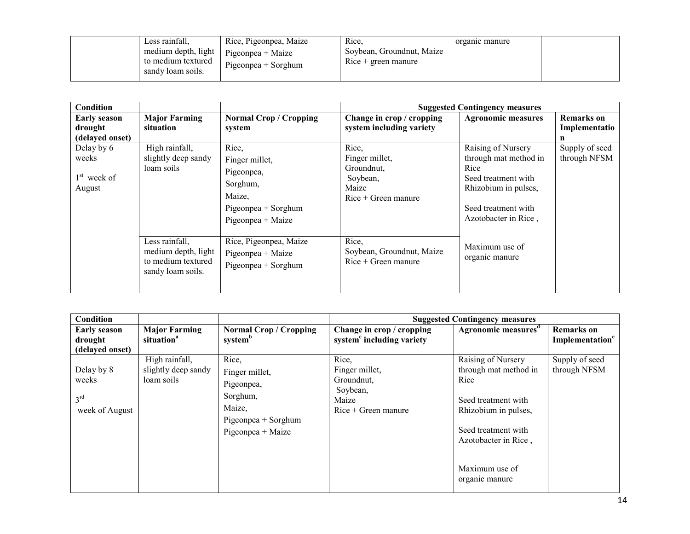| Condition                                         |                                                                                  |                                                                                                         |                                                                                     | <b>Suggested Contingency measures</b>                                                                                                             |                                         |
|---------------------------------------------------|----------------------------------------------------------------------------------|---------------------------------------------------------------------------------------------------------|-------------------------------------------------------------------------------------|---------------------------------------------------------------------------------------------------------------------------------------------------|-----------------------------------------|
| <b>Early season</b><br>drought<br>(delayed onset) | <b>Major Farming</b><br>situation                                                | <b>Normal Crop / Cropping</b><br>system                                                                 | Change in crop / cropping<br>system including variety                               | <b>Agronomic measures</b>                                                                                                                         | <b>Remarks</b> on<br>Implementatio<br>n |
| Delay by 6<br>weeks<br>$1st$ week of<br>August    | High rainfall,<br>slightly deep sandy<br>loam soils                              | Rice,<br>Finger millet,<br>Pigeonpea,<br>Sorghum,<br>Maize,<br>Pigeonpea + Sorghum<br>Pigeonpea + Maize | Rice,<br>Finger millet,<br>Groundnut,<br>Soybean,<br>Maize<br>$Rice + Green$ manure | Raising of Nursery<br>through mat method in<br>Rice<br>Seed treatment with<br>Rhizobium in pulses,<br>Seed treatment with<br>Azotobacter in Rice, | Supply of seed<br>through NFSM          |
|                                                   | Less rainfall,<br>medium depth, light<br>to medium textured<br>sandy loam soils. | Rice, Pigeonpea, Maize<br>Pigeonpea + Maize<br>Pigeonpea + Sorghum                                      | Rice,<br>Soybean, Groundnut, Maize<br>$Rice + Green$ manure                         | Maximum use of<br>organic manure                                                                                                                  |                                         |

| Condition                                                |                                                     |                                                                                                           |                                                                                     | <b>Suggested Contingency measures</b>                                                                                                             |                                                  |
|----------------------------------------------------------|-----------------------------------------------------|-----------------------------------------------------------------------------------------------------------|-------------------------------------------------------------------------------------|---------------------------------------------------------------------------------------------------------------------------------------------------|--------------------------------------------------|
| <b>Early season</b><br>drought<br>(delayed onset)        | <b>Major Farming</b><br>situation <sup>a</sup>      | <b>Normal Crop / Cropping</b><br>system <sup>b</sup>                                                      | Change in crop / cropping<br>system <sup>c</sup> including variety                  | Agronomic measures <sup>d</sup>                                                                                                                   | <b>Remarks</b> on<br>Implementation <sup>e</sup> |
| Delay by 8<br>weeks<br>3 <sup>rd</sup><br>week of August | High rainfall,<br>slightly deep sandy<br>loam soils | Rice,<br>Finger millet,<br>Pigeonpea,<br>Sorghum,<br>Maize,<br>$Pigeonpea + Sorghum$<br>Pigeonpea + Maize | Rice,<br>Finger millet,<br>Groundnut,<br>Soybean,<br>Maize<br>$Rice + Green$ manure | Raising of Nursery<br>through mat method in<br>Rice<br>Seed treatment with<br>Rhizobium in pulses,<br>Seed treatment with<br>Azotobacter in Rice, | Supply of seed<br>through NFSM                   |
|                                                          |                                                     |                                                                                                           |                                                                                     | Maximum use of<br>organic manure                                                                                                                  |                                                  |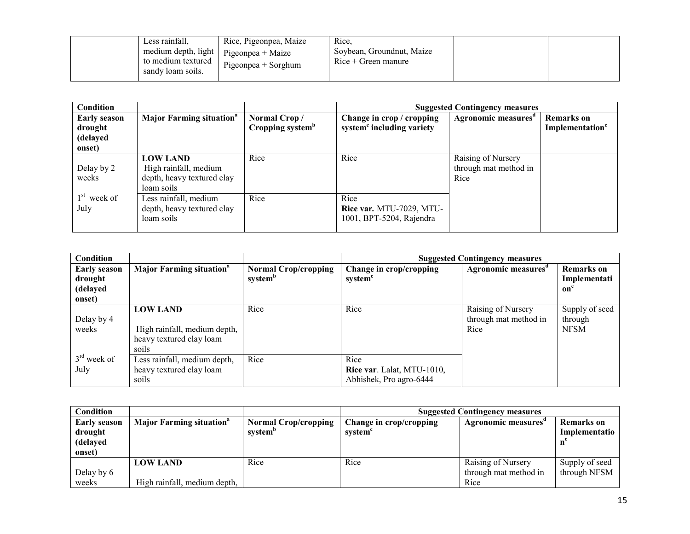| Less rainfall,<br>Rice, Pigeonpea, Maize<br>$\vert$ medium depth, light $\vert$ Pigeonpea + Maize<br>to medium textured<br>$Pigeonpea + Sorghum$<br>sandy loam soils. | Rice,<br>Soybean, Groundnut, Maize<br>$Rice + Green$ manure |  |  |
|-----------------------------------------------------------------------------------------------------------------------------------------------------------------------|-------------------------------------------------------------|--|--|
|-----------------------------------------------------------------------------------------------------------------------------------------------------------------------|-------------------------------------------------------------|--|--|

| Condition                                            |                                                                                      |                                              | <b>Suggested Contingency measures</b>                              |                                                     |                                                  |  |
|------------------------------------------------------|--------------------------------------------------------------------------------------|----------------------------------------------|--------------------------------------------------------------------|-----------------------------------------------------|--------------------------------------------------|--|
| <b>Early season</b><br>drought<br>(delayed<br>onset) | <b>Major Farming situation</b> <sup>a</sup>                                          | Normal Crop/<br>Cropping system <sup>b</sup> | Change in crop / cropping<br>system <sup>c</sup> including variety | Agronomic measures <sup>d</sup>                     | <b>Remarks</b> on<br>Implementation <sup>e</sup> |  |
| Delay by 2<br>weeks                                  | <b>LOW LAND</b><br>High rainfall, medium<br>depth, heavy textured clay<br>loam soils | Rice                                         | Rice                                                               | Raising of Nursery<br>through mat method in<br>Rice |                                                  |  |
| $1st$ week of<br>July                                | Less rainfall, medium<br>depth, heavy textured clay<br>loam soils                    | Rice                                         | Rice<br>Rice var. MTU-7029, MTU-<br>1001, BPT-5204, Rajendra       |                                                     |                                                  |  |

| Condition                                            |                                                                                      |                                                    | <b>Suggested Contingency measures</b>                         |                                                     |                                          |  |
|------------------------------------------------------|--------------------------------------------------------------------------------------|----------------------------------------------------|---------------------------------------------------------------|-----------------------------------------------------|------------------------------------------|--|
| <b>Early season</b><br>drought<br>(delayed<br>onset) | <b>Major Farming situation</b> <sup>a</sup>                                          | <b>Normal Crop/cropping</b><br>system <sup>b</sup> | Change in crop/cropping<br>system <sup>c</sup>                | Agronomic measures <sup>d</sup>                     | <b>Remarks</b> on<br>Implementati<br>on  |  |
| Delay by 4<br>weeks                                  | <b>LOW LAND</b><br>High rainfall, medium depth,<br>heavy textured clay loam<br>soils | Rice                                               | Rice                                                          | Raising of Nursery<br>through mat method in<br>Rice | Supply of seed<br>through<br><b>NFSM</b> |  |
| $3rd$ week of<br>July                                | Less rainfall, medium depth,<br>heavy textured clay loam<br>soils                    | Rice                                               | Rice<br>Rice var. Lalat, MTU-1010,<br>Abhishek, Pro agro-6444 |                                                     |                                          |  |

| Condition                                            |                                                 |                                                    | <b>Suggested Contingency measures</b> |                                                     |                                |  |
|------------------------------------------------------|-------------------------------------------------|----------------------------------------------------|---------------------------------------|-----------------------------------------------------|--------------------------------|--|
| <b>Early season</b><br>drought<br>(delayed<br>onset) | <b>Major Farming situation</b> <sup>a</sup>     | <b>Normal Crop/cropping</b><br>system <sup>b</sup> | Change in crop/cropping<br>system     | Agronomic measures                                  | Remarks on<br>Implementatio    |  |
| Delay by 6<br>weeks                                  | <b>LOW LAND</b><br>High rainfall, medium depth, | Rice                                               | Rice                                  | Raising of Nursery<br>through mat method in<br>Rice | Supply of seed<br>through NFSM |  |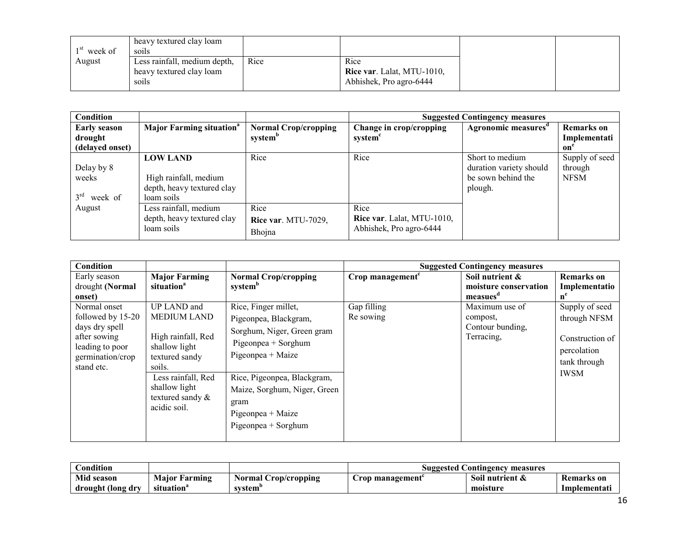| week of | heavy textured clay loam<br>soils |      |                            |  |
|---------|-----------------------------------|------|----------------------------|--|
| August  | Less rainfall, medium depth,      | Rice | Rice                       |  |
|         | heavy textured clay loam          |      | Rice var. Lalat, MTU-1010, |  |
|         | soils                             |      | Abhishek, Pro agro-6444    |  |

| Condition                                         |                                                                                      |                                                    | <b>Suggested Contingency measures</b>                         |                                                                             |                                          |  |
|---------------------------------------------------|--------------------------------------------------------------------------------------|----------------------------------------------------|---------------------------------------------------------------|-----------------------------------------------------------------------------|------------------------------------------|--|
| <b>Early season</b><br>drought<br>(delayed onset) | <b>Major Farming situation</b> <sup>a</sup>                                          | <b>Normal Crop/cropping</b><br>system <sup>b</sup> | Change in crop/cropping<br>system <sup>c</sup>                | Agronomic measures <sup>a</sup>                                             | <b>Remarks</b> on<br>Implementati<br>on' |  |
| Delay by 8<br>weeks<br>3 <sup>rd</sup><br>week of | <b>LOW LAND</b><br>High rainfall, medium<br>depth, heavy textured clay<br>loam soils | Rice                                               | Rice                                                          | Short to medium<br>duration variety should<br>be sown behind the<br>plough. | Supply of seed<br>through<br><b>NFSM</b> |  |
| August                                            | Less rainfall, medium<br>depth, heavy textured clay<br>loam soils                    | Rice<br>Rice var. MTU-7029,<br>Bhojna              | Rice<br>Rice var. Lalat, MTU-1010,<br>Abhishek, Pro agro-6444 |                                                                             |                                          |  |

| Condition                                                                                                                |                                                                                                                                                                                    |                                                                                                                                                                                                                                              |                              | <b>Suggested Contingency measures</b>                            |                                                                                                 |
|--------------------------------------------------------------------------------------------------------------------------|------------------------------------------------------------------------------------------------------------------------------------------------------------------------------------|----------------------------------------------------------------------------------------------------------------------------------------------------------------------------------------------------------------------------------------------|------------------------------|------------------------------------------------------------------|-------------------------------------------------------------------------------------------------|
| Early season<br>drought (Normal<br>onset)                                                                                | <b>Major Farming</b><br>situation <sup>a</sup>                                                                                                                                     | <b>Normal Crop/cropping</b><br>system <sup>b</sup>                                                                                                                                                                                           | Crop management <sup>c</sup> | Soil nutrient &<br>moisture conservation<br>measues <sup>a</sup> | <b>Remarks</b> on<br>Implementatio<br>$n^e$                                                     |
| Normal onset<br>followed by 15-20<br>days dry spell<br>after sowing<br>leading to poor<br>germination/crop<br>stand etc. | UP LAND and<br><b>MEDIUM LAND</b><br>High rainfall, Red<br>shallow light<br>textured sandy<br>soils.<br>Less rainfall, Red<br>shallow light<br>textured sandy $\&$<br>acidic soil. | Rice, Finger millet,<br>Pigeonpea, Blackgram,<br>Sorghum, Niger, Green gram<br>Pigeonpea + Sorghum<br>Pigeonpea + Maize<br>Rice, Pigeonpea, Blackgram,<br>Maize, Sorghum, Niger, Green<br>gram<br>Pigeonpea + Maize<br>$Pigeonpea + Sorghum$ | Gap filling<br>Re sowing     | Maximum use of<br>compost,<br>Contour bunding,<br>Terracing,     | Supply of seed<br>through NFSM<br>Construction of<br>percolation<br>tank through<br><b>IWSM</b> |

| Condition         |                      |                      | <b>Suggested Contingency</b><br>measures |                 |                   |
|-------------------|----------------------|----------------------|------------------------------------------|-----------------|-------------------|
| Mid season        | <b>Maior Farming</b> | Normal Crop/cropping | Crop management                          | Soil nutrient & | <b>Remarks</b> on |
| drought (long dry | situation            | system               |                                          | moisture        | Implementati      |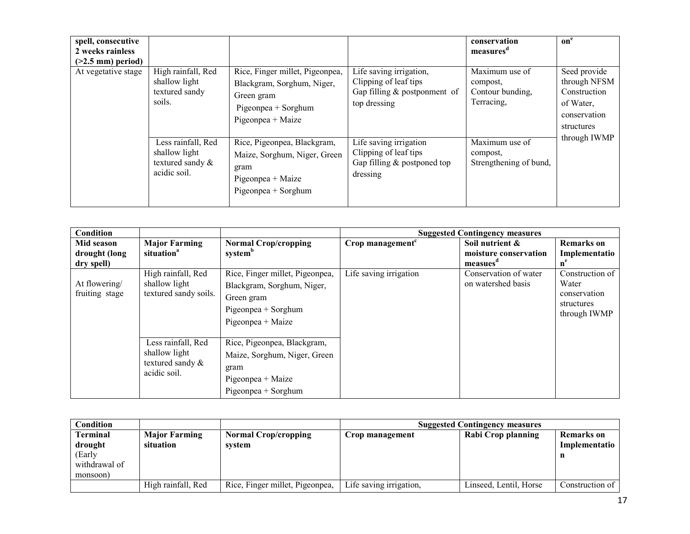| spell, consecutive<br>2 weeks rainless<br>$(>2.5$ mm) period)<br>At vegetative stage | High rainfall, Red<br>Rice, Finger millet, Pigeonpea,<br>shallow light<br>Blackgram, Sorghum, Niger,<br>textured sandy<br>Green gram<br>soils.<br>$Pigeonpea + Sorghum$<br>Pigeonpea + Maize | Life saving irrigation,<br>Clipping of leaf tips<br>Gap filling $&$ postponment of<br>top dressing                | conservation<br>measures<br>Maximum use of<br>compost,<br>Contour bunding,<br>Terracing.     | on <sup>e</sup><br>Seed provide<br>through NFSM<br>Construction<br>of Water,<br>conservation<br>structures |              |
|--------------------------------------------------------------------------------------|----------------------------------------------------------------------------------------------------------------------------------------------------------------------------------------------|-------------------------------------------------------------------------------------------------------------------|----------------------------------------------------------------------------------------------|------------------------------------------------------------------------------------------------------------|--------------|
|                                                                                      | Less rainfall, Red<br>shallow light<br>textured sandy $\&$<br>acidic soil.                                                                                                                   | Rice, Pigeonpea, Blackgram,<br>Maize, Sorghum, Niger, Green<br>gram<br>Pigeonpea + Maize<br>$Pigeonpea + Sorghum$ | Life saving irrigation<br>Clipping of leaf tips<br>Gap filling $&$ postponed top<br>dressing | $\overline{\text{Maximum}}$ use of<br>compost,<br>Strengthening of bund,                                   | through IWMP |

| Condition                                 |                                                                            |                                                                                                                           |                              | <b>Suggested Contingency measures</b>                            |                                                                        |
|-------------------------------------------|----------------------------------------------------------------------------|---------------------------------------------------------------------------------------------------------------------------|------------------------------|------------------------------------------------------------------|------------------------------------------------------------------------|
| Mid season<br>drought (long<br>dry spell) | <b>Major Farming</b><br>situation <sup>a</sup>                             | <b>Normal Crop/cropping</b><br>system <sup>b</sup>                                                                        | Crop management <sup>c</sup> | Soil nutrient &<br>moisture conservation<br>measues <sup>d</sup> | <b>Remarks</b> on<br>Implementatio<br>$n^e$                            |
| At flowering/<br>fruiting stage           | High rainfall, Red<br>shallow light<br>textured sandy soils.               | Rice, Finger millet, Pigeonpea,<br>Blackgram, Sorghum, Niger,<br>Green gram<br>$Pigeonpea + Sorghum$<br>Pigeonpea + Maize | Life saving irrigation       | Conservation of water<br>on watershed basis                      | Construction of<br>Water<br>conservation<br>structures<br>through IWMP |
|                                           | Less rainfall, Red<br>shallow light<br>textured sandy $\&$<br>acidic soil. | Rice, Pigeonpea, Blackgram,<br>Maize, Sorghum, Niger, Green<br>gram<br>Pigeonpea + Maize<br>$Pigeonpea + Sorghum$         |                              |                                                                  |                                                                        |

| Condition       |                      |                                 | <b>Suggested Contingency measures</b> |                        |                   |  |
|-----------------|----------------------|---------------------------------|---------------------------------------|------------------------|-------------------|--|
| <b>Terminal</b> | <b>Major Farming</b> | <b>Normal Crop/cropping</b>     | Crop management                       | Rabi Crop planning     | <b>Remarks</b> on |  |
| drought         | situation            | system                          |                                       |                        | Implementatio     |  |
| (Early          |                      |                                 |                                       |                        | n                 |  |
| withdrawal of   |                      |                                 |                                       |                        |                   |  |
| monsoon)        |                      |                                 |                                       |                        |                   |  |
|                 | High rainfall, Red   | Rice, Finger millet, Pigeonpea, | Life saving irrigation,               | Linseed, Lentil, Horse | Construction of   |  |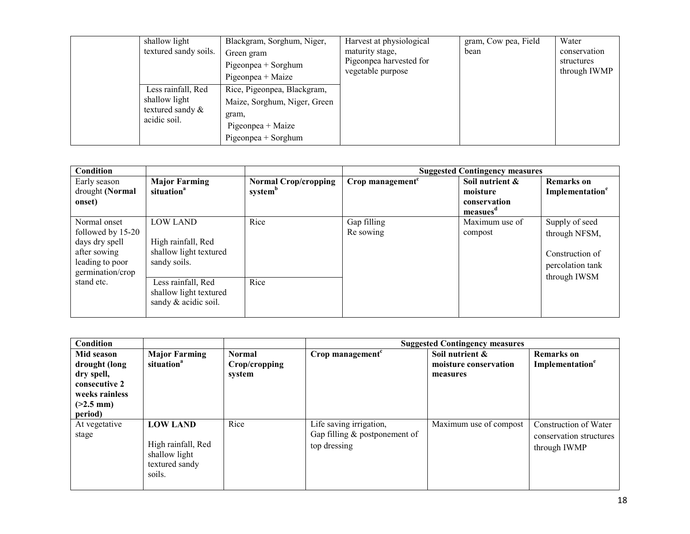| shallow light<br>textured sandy soils.                                     | Blackgram, Sorghum, Niger,<br>Green gram<br>$Pigeonpea + Sorghum$<br>Pigeonpea + Maize                             | Harvest at physiological<br>maturity stage,<br>Pigeonpea harvested for<br>vegetable purpose | gram, Cow pea, Field<br>bean | Water<br>conservation<br>structures<br>through IWMP |
|----------------------------------------------------------------------------|--------------------------------------------------------------------------------------------------------------------|---------------------------------------------------------------------------------------------|------------------------------|-----------------------------------------------------|
| Less rainfall, Red<br>shallow light<br>textured sandy $\&$<br>acidic soil. | Rice, Pigeonpea, Blackgram,<br>Maize, Sorghum, Niger, Green<br>gram,<br>Pigeonpea + Maize<br>$Pigeonpea + Sorghum$ |                                                                                             |                              |                                                     |

| Condition         |                        |                             |                     | <b>Suggested Contingency measures</b> |                             |
|-------------------|------------------------|-----------------------------|---------------------|---------------------------------------|-----------------------------|
| Early season      | <b>Major Farming</b>   | <b>Normal Crop/cropping</b> | Crop management $c$ | Soil nutrient &                       | <b>Remarks</b> on           |
| drought (Normal   | situation <sup>a</sup> | system <sup>b</sup>         |                     | moisture                              | Implementation <sup>e</sup> |
| onset)            |                        |                             |                     | conservation                          |                             |
|                   |                        |                             |                     | measues <sup>a</sup>                  |                             |
| Normal onset      | <b>LOW LAND</b>        | Rice                        | Gap filling         | Maximum use of                        | Supply of seed              |
| followed by 15-20 |                        |                             | Re sowing           | compost                               | through NFSM,               |
| days dry spell    | High rainfall, Red     |                             |                     |                                       |                             |
| after sowing      | shallow light textured |                             |                     |                                       | Construction of             |
| leading to poor   | sandy soils.           |                             |                     |                                       | percolation tank            |
| germination/crop  |                        |                             |                     |                                       | through IWSM                |
| stand etc.        | Less rainfall, Red     | Rice                        |                     |                                       |                             |
|                   | shallow light textured |                             |                     |                                       |                             |
|                   | sandy & acidic soil.   |                             |                     |                                       |                             |
|                   |                        |                             |                     |                                       |                             |

| Condition                                                                                              |                                                                                    |                                          |                                                                            | <b>Suggested Contingency measures</b>                |                                                                  |
|--------------------------------------------------------------------------------------------------------|------------------------------------------------------------------------------------|------------------------------------------|----------------------------------------------------------------------------|------------------------------------------------------|------------------------------------------------------------------|
| Mid season<br>drought (long<br>dry spell,<br>consecutive 2<br>weeks rainless<br>$(>2.5$ mm)<br>period) | <b>Major Farming</b><br>situation <sup>a</sup>                                     | <b>Normal</b><br>Crop/cropping<br>system | Crop management <sup>c</sup>                                               | Soil nutrient &<br>moisture conservation<br>measures | <b>Remarks</b> on<br>Implementation <sup>e</sup>                 |
| At vegetative<br>stage                                                                                 | <b>LOW LAND</b><br>High rainfall, Red<br>shallow light<br>textured sandy<br>soils. | Rice                                     | Life saving irrigation,<br>Gap filling $&$ postponement of<br>top dressing | Maximum use of compost                               | Construction of Water<br>conservation structures<br>through IWMP |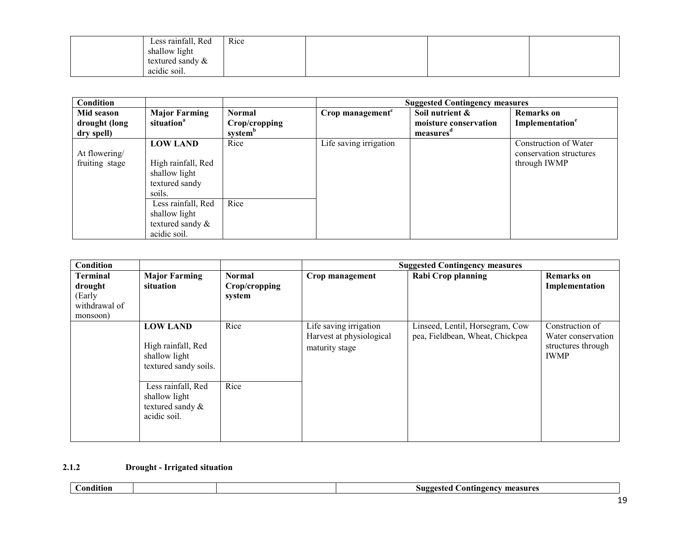| Less rainfall, Red                      | Rice |  |  |
|-----------------------------------------|------|--|--|
| shallow light                           |      |  |  |
| textured sandy $\&$                     |      |  |  |
| $\cdot$ $\cdot$ $\cdot$<br>acidic soil. |      |  |  |

| Condition                                 |                                                                                    |                                                |                              | <b>Suggested Contingency measures</b>                             |                                                                  |
|-------------------------------------------|------------------------------------------------------------------------------------|------------------------------------------------|------------------------------|-------------------------------------------------------------------|------------------------------------------------------------------|
| Mid season<br>drought (long<br>dry spell) | <b>Major Farming</b><br>situation <sup>a</sup>                                     | Normal<br>Crop/cropping<br>system <sup>b</sup> | Crop management <sup>c</sup> | Soil nutrient &<br>moisture conservation<br>measures <sup>d</sup> | <b>Remarks</b> on<br>Implementation <sup>e</sup>                 |
| At flowering/<br>fruiting stage           | <b>LOW LAND</b><br>High rainfall, Red<br>shallow light<br>textured sandy<br>soils. | Rice                                           | Life saving irrigation       |                                                                   | Construction of Water<br>conservation structures<br>through IWMP |
|                                           | Less rainfall, Red<br>shallow light<br>textured sandy $\&$<br>acidic soil.         | Rice                                           |                              |                                                                   |                                                                  |

| Condition                                                         |                                                                                 |                                          |                                                                      | <b>Suggested Contingency measures</b>                              |                                                                            |
|-------------------------------------------------------------------|---------------------------------------------------------------------------------|------------------------------------------|----------------------------------------------------------------------|--------------------------------------------------------------------|----------------------------------------------------------------------------|
| <b>Terminal</b><br>drought<br>(Early<br>withdrawal of<br>monsoon) | <b>Major Farming</b><br>situation                                               | <b>Normal</b><br>Crop/cropping<br>system | Crop management                                                      | Rabi Crop planning                                                 | <b>Remarks</b> on<br>Implementation                                        |
|                                                                   | <b>LOW LAND</b><br>High rainfall, Red<br>shallow light<br>textured sandy soils. | Rice                                     | Life saving irrigation<br>Harvest at physiological<br>maturity stage | Linseed, Lentil, Horsegram, Cow<br>pea, Fieldbean, Wheat, Chickpea | Construction of<br>Water conservation<br>structures through<br><b>IWMP</b> |
|                                                                   | Less rainfall, Red<br>shallow light<br>textured sandy &<br>acidic soil.         | Rice                                     |                                                                      |                                                                    |                                                                            |

# 2.1.2 Drought - Irrigated situation

| $\cdots$<br>-ondition |  | $S \mathbf{u} \mathbf{g} \mathbf{g}$ r<br>measure<br>. ontingency<br>100<br>∽ |
|-----------------------|--|-------------------------------------------------------------------------------|
|                       |  |                                                                               |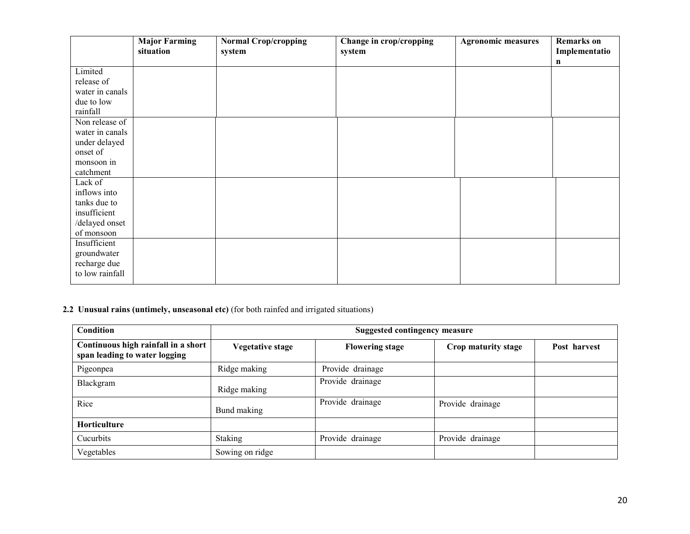|                 | <b>Major Farming</b><br>situation | <b>Normal Crop/cropping</b><br>system | Change in crop/cropping<br>system | <b>Agronomic measures</b> | <b>Remarks</b> on<br>Implementatio |
|-----------------|-----------------------------------|---------------------------------------|-----------------------------------|---------------------------|------------------------------------|
|                 |                                   |                                       |                                   |                           | n                                  |
| Limited         |                                   |                                       |                                   |                           |                                    |
| release of      |                                   |                                       |                                   |                           |                                    |
| water in canals |                                   |                                       |                                   |                           |                                    |
| due to low      |                                   |                                       |                                   |                           |                                    |
| rainfall        |                                   |                                       |                                   |                           |                                    |
| Non release of  |                                   |                                       |                                   |                           |                                    |
| water in canals |                                   |                                       |                                   |                           |                                    |
| under delayed   |                                   |                                       |                                   |                           |                                    |
| onset of        |                                   |                                       |                                   |                           |                                    |
| monsoon in      |                                   |                                       |                                   |                           |                                    |
| catchment       |                                   |                                       |                                   |                           |                                    |
| Lack of         |                                   |                                       |                                   |                           |                                    |
| inflows into    |                                   |                                       |                                   |                           |                                    |
| tanks due to    |                                   |                                       |                                   |                           |                                    |
| insufficient    |                                   |                                       |                                   |                           |                                    |
| /delayed onset  |                                   |                                       |                                   |                           |                                    |
| of monsoon      |                                   |                                       |                                   |                           |                                    |
| Insufficient    |                                   |                                       |                                   |                           |                                    |
| groundwater     |                                   |                                       |                                   |                           |                                    |
| recharge due    |                                   |                                       |                                   |                           |                                    |
| to low rainfall |                                   |                                       |                                   |                           |                                    |
|                 |                                   |                                       |                                   |                           |                                    |

#### 2.2 Unusual rains (untimely, unseasonal etc) (for both rainfed and irrigated situations)

| Condition                                                            | <b>Suggested contingency measure</b> |                        |                     |              |  |  |
|----------------------------------------------------------------------|--------------------------------------|------------------------|---------------------|--------------|--|--|
| Continuous high rainfall in a short<br>span leading to water logging | <b>Vegetative stage</b>              | <b>Flowering stage</b> | Crop maturity stage | Post harvest |  |  |
| Pigeonpea                                                            | Ridge making                         | Provide drainage       |                     |              |  |  |
| Blackgram                                                            | Ridge making                         | Provide drainage       |                     |              |  |  |
| Rice                                                                 | Bund making                          | Provide drainage       | Provide drainage    |              |  |  |
| Horticulture                                                         |                                      |                        |                     |              |  |  |
| Cucurbits                                                            | <b>Staking</b>                       | Provide drainage       | Provide drainage    |              |  |  |
| Vegetables                                                           | Sowing on ridge                      |                        |                     |              |  |  |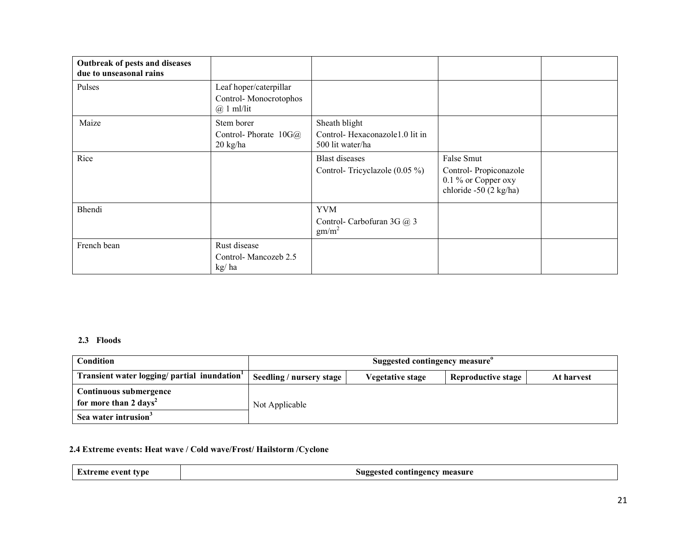| Outbreak of pests and diseases<br>due to unseasonal rains |                                                                 |                                                                     |                                                                                      |  |
|-----------------------------------------------------------|-----------------------------------------------------------------|---------------------------------------------------------------------|--------------------------------------------------------------------------------------|--|
| Pulses                                                    | Leaf hoper/caterpillar<br>Control-Monocrotophos<br>$@$ 1 ml/lit |                                                                     |                                                                                      |  |
| Maize                                                     | Stem borer<br>Control-Phorate $10G(\hat{a})$<br>20 kg/ha        | Sheath blight<br>Control-Hexaconazole1.0 lit in<br>500 lit water/ha |                                                                                      |  |
| Rice                                                      |                                                                 | <b>Blast</b> diseases<br>Control-Tricyclazole $(0.05\%)$            | False Smut<br>Control-Propiconazole<br>0.1 % or Copper oxy<br>chloride -50 (2 kg/ha) |  |
| Bhendi                                                    |                                                                 | <b>YVM</b><br>Control- Carbofuran 3G @ 3<br>gm/m <sup>2</sup>       |                                                                                      |  |
| French bean                                               | Rust disease<br>Control-Mancozeb 2.5<br>kg/ha                   |                                                                     |                                                                                      |  |

# 2.3 Floods

| Condition                                   | Suggested contingency measure <sup>o</sup> |                  |                           |            |
|---------------------------------------------|--------------------------------------------|------------------|---------------------------|------------|
| Transient water logging/ partial inundation | Seedling / nursery stage                   | Vegetative stage | <b>Reproductive stage</b> | At harvest |
| Continuous submergence                      |                                            |                  |                           |            |
| for more than 2 days <sup>2</sup>           | Not Applicable                             |                  |                           |            |
| Sea water intrusion <sup>3</sup>            |                                            |                  |                           |            |

#### 2.4 Extreme events: Heat wave / Cold wave/Frost/ Hailstorm /Cyclone

| Extreme event type |
|--------------------|
|--------------------|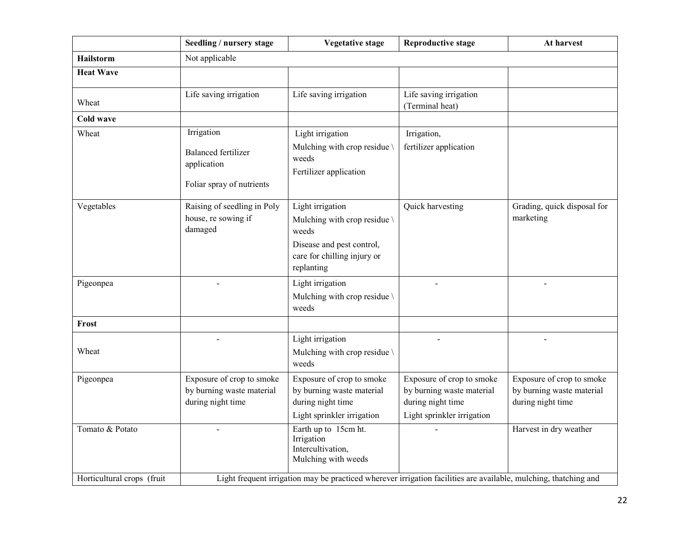|                            | Seedling / nursery stage                                                                                         | <b>Vegetative stage</b>                                                                                                             | <b>Reproductive stage</b>                                                                                 | At harvest                                                                  |  |
|----------------------------|------------------------------------------------------------------------------------------------------------------|-------------------------------------------------------------------------------------------------------------------------------------|-----------------------------------------------------------------------------------------------------------|-----------------------------------------------------------------------------|--|
| <b>Hailstorm</b>           | Not applicable                                                                                                   |                                                                                                                                     |                                                                                                           |                                                                             |  |
| <b>Heat Wave</b>           |                                                                                                                  |                                                                                                                                     |                                                                                                           |                                                                             |  |
| Wheat                      | Life saving irrigation                                                                                           | Life saving irrigation                                                                                                              | Life saving irrigation<br>(Terminal heat)                                                                 |                                                                             |  |
| Cold wave                  |                                                                                                                  |                                                                                                                                     |                                                                                                           |                                                                             |  |
| Wheat                      | Irrigation<br><b>Balanced fertilizer</b><br>application                                                          | Light irrigation<br>Mulching with crop residue<br>weeds<br>Fertilizer application                                                   | Irrigation,<br>fertilizer application                                                                     |                                                                             |  |
|                            | Foliar spray of nutrients                                                                                        |                                                                                                                                     |                                                                                                           |                                                                             |  |
| Vegetables                 | Raising of seedling in Poly<br>house, re sowing if<br>damaged                                                    | Light irrigation<br>Mulching with crop residue \<br>weeds<br>Disease and pest control,<br>care for chilling injury or<br>replanting | Quick harvesting                                                                                          | Grading, quick disposal for<br>marketing                                    |  |
| Pigeonpea                  |                                                                                                                  | Light irrigation<br>Mulching with crop residue \<br>weeds                                                                           |                                                                                                           |                                                                             |  |
| Frost                      |                                                                                                                  |                                                                                                                                     |                                                                                                           |                                                                             |  |
| Wheat                      |                                                                                                                  | Light irrigation<br>Mulching with crop residue \<br>weeds                                                                           |                                                                                                           |                                                                             |  |
| Pigeonpea                  | Exposure of crop to smoke<br>by burning waste material<br>during night time                                      | Exposure of crop to smoke<br>by burning waste material<br>during night time<br>Light sprinkler irrigation                           | Exposure of crop to smoke<br>by burning waste material<br>during night time<br>Light sprinkler irrigation | Exposure of crop to smoke<br>by burning waste material<br>during night time |  |
| Tomato & Potato            |                                                                                                                  | Earth up to 15cm ht.<br>Irrigation<br>Intercultivation,<br>Mulching with weeds                                                      |                                                                                                           | Harvest in dry weather                                                      |  |
| Horticultural crops (fruit | Light frequent irrigation may be practiced wherever irrigation facilities are available, mulching, thatching and |                                                                                                                                     |                                                                                                           |                                                                             |  |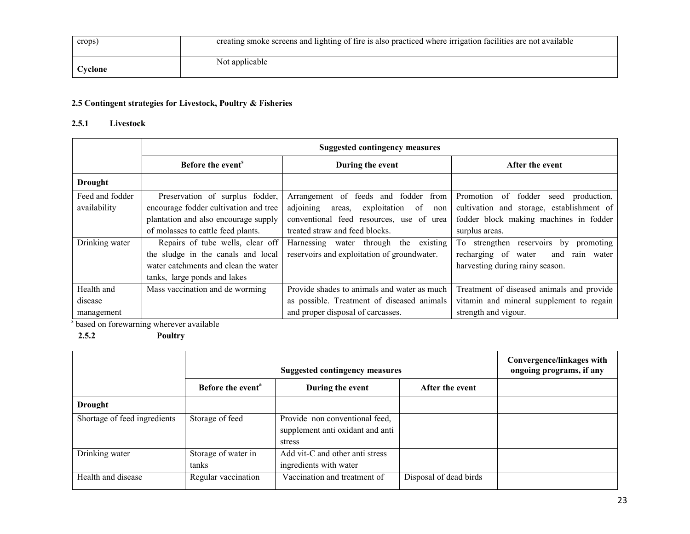| crops)  | creating smoke screens and lighting of fire is also practiced where irrigation facilities are not available |
|---------|-------------------------------------------------------------------------------------------------------------|
| Cyclone | Not applicable                                                                                              |

# 2.5 Contingent strategies for Livestock, Poultry & Fisheries

## 2.5.1 Livestock

|                 | <b>Suggested contingency measures</b> |                                                  |                                                  |  |
|-----------------|---------------------------------------|--------------------------------------------------|--------------------------------------------------|--|
|                 | Before the event <sup>s</sup>         | During the event                                 | After the event                                  |  |
| <b>Drought</b>  |                                       |                                                  |                                                  |  |
| Feed and fodder | Preservation of surplus fodder,       | Arrangement of feeds and fodder<br>from          | fodder<br>Promotion<br>production,<br>of<br>seed |  |
| availability    | encourage fodder cultivation and tree | adjoining<br>exploitation<br>of<br>areas.<br>non | cultivation and storage, establishment of        |  |
|                 | plantation and also encourage supply  | conventional feed resources, use of urea         | fodder block making machines in fodder           |  |
|                 | of molasses to cattle feed plants.    | treated straw and feed blocks.                   | surplus areas.                                   |  |
| Drinking water  | Repairs of tube wells, clear off      | Harnessing water through the existing            | To strengthen reservoirs by<br>promoting         |  |
|                 | the sludge in the canals and local    | reservoirs and exploitation of groundwater.      | recharging of<br>water<br>and<br>rain water      |  |
|                 | water catchments and clean the water  |                                                  | harvesting during rainy season.                  |  |
|                 | tanks, large ponds and lakes          |                                                  |                                                  |  |
| Health and      | Mass vaccination and de worming       | Provide shades to animals and water as much      | Treatment of diseased animals and provide        |  |
| disease         |                                       | as possible. Treatment of diseased animals       | vitamin and mineral supplement to regain         |  |
| management      |                                       | and proper disposal of carcasses.                | strength and vigour.                             |  |

s based on forewarning wherever available

2.5.2 Poultry

|                              | <b>Suggested contingency measures</b> |                                                                              |                        | Convergence/linkages with<br>ongoing programs, if any |
|------------------------------|---------------------------------------|------------------------------------------------------------------------------|------------------------|-------------------------------------------------------|
|                              | Before the event <sup>a</sup>         | During the event                                                             | After the event        |                                                       |
| Drought                      |                                       |                                                                              |                        |                                                       |
| Shortage of feed ingredients | Storage of feed                       | Provide non conventional feed,<br>supplement anti oxidant and anti<br>stress |                        |                                                       |
| Drinking water               | Storage of water in<br>tanks          | Add vit-C and other anti stress<br>ingredients with water                    |                        |                                                       |
| Health and disease           | Regular vaccination                   | Vaccination and treatment of                                                 | Disposal of dead birds |                                                       |